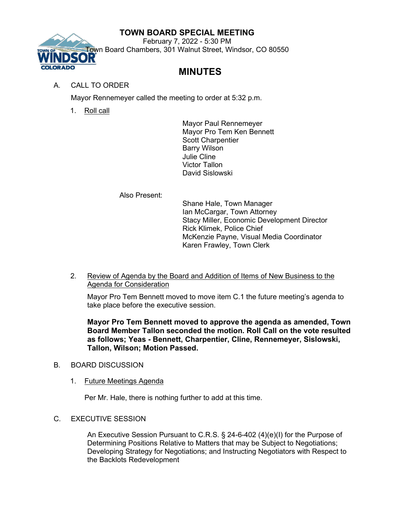## **TOWN BOARD SPECIAL MEETING**



February 7, 2022 - 5:30 PM Town Board Chambers, 301 Walnut Street, Windsor, CO 80550

## **MINUTES**

## A. CALL TO ORDER

Mayor Rennemeyer called the meeting to order at 5:32 p.m.

1. Roll call

Mayor Paul Rennemeyer Mayor Pro Tem Ken Bennett Scott Charpentier Barry Wilson Julie Cline Victor Tallon David Sislowski

Also Present:

Shane Hale, Town Manager Ian McCargar, Town Attorney Stacy Miller, Economic Development Director Rick Klimek, Police Chief McKenzie Payne, Visual Media Coordinator Karen Frawley, Town Clerk

2. Review of Agenda by the Board and Addition of Items of New Business to the Agenda for Consideration

Mayor Pro Tem Bennett moved to move item C.1 the future meeting's agenda to take place before the executive session.

**Mayor Pro Tem Bennett moved to approve the agenda as amended, Town Board Member Tallon seconded the motion. Roll Call on the vote resulted as follows; Yeas - Bennett, Charpentier, Cline, Rennemeyer, Sislowski, Tallon, Wilson; Motion Passed.**

- B. BOARD DISCUSSION
	- 1. Future Meetings Agenda

Per Mr. Hale, there is nothing further to add at this time.

C. EXECUTIVE SESSION

An Executive Session Pursuant to C.R.S. § 24-6-402 (4)(e)(I) for the Purpose of Determining Positions Relative to Matters that may be Subject to Negotiations; Developing Strategy for Negotiations; and Instructing Negotiators with Respect to the Backlots Redevelopment